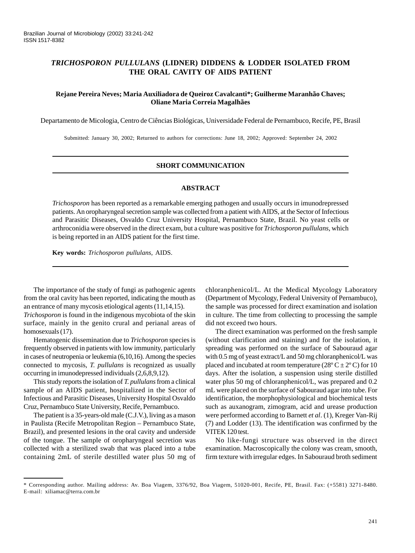# *TRICHOSPORON PULLULANS* **(LIDNER) DIDDENS & LODDER ISOLATED FROM THE ORAL CAVITY OF AIDS PATIENT**

# **Rejane Pereira Neves; Maria Auxiliadora de Queiroz Cavalcanti\*; Guilherme Maranhão Chaves; Oliane Maria Correia Magalhães**

Departamento de Micologia, Centro de Ciências Biológicas, Universidade Federal de Pernambuco, Recife, PE, Brasil

Submitted: January 30, 2002; Returned to authors for corrections: June 18, 2002; Approved: September 24, 2002

## **SHORT COMMUNICATION**

# **ABSTRACT**

*Trichosporon* has been reported as a remarkable emerging pathogen and usually occurs in imunodrepressed patients. An oropharyngeal secretion sample was collected from a patient with AIDS, at the Sector of Infectious and Parasitic Diseases, Osvaldo Cruz University Hospital, Pernambuco State, Brazil. No yeast cells or arthroconidia were observed in the direct exam, but a culture was positive for *Trichosporon pullulans*, which is being reported in an AIDS patient for the first time.

**Key words:** *Trichosporon pullulans,* AIDS.

The importance of the study of fungi as pathogenic agents from the oral cavity has been reported, indicating the mouth as an entrance of many mycosis etiological agents (11,14,15).

*Trichosporon* is found in the indigenous mycobiota of the skin surface, mainly in the genito crural and perianal areas of homosexuals (17).

Hematogenic dissemination due to *Trichosporon* species is frequently observed in patients with low immunity, particularly in cases of neutropenia or leukemia (6,10,16). Among the species connected to mycosis, *T. pullulans* is recognized as usually occurring in imunodepressed individuals (2,6,8,9,12).

This study reports the isolation of *T. pullulans* from a clinical sample of an AIDS patient, hospitalized in the Sector of Infectious and Parasitic Diseases, University Hospital Osvaldo Cruz, Pernambuco State University, Recife, Pernambuco.

The patient is a 35-years-old male (C.J.V.), living as a mason in Paulista (Recife Metropolitan Region – Pernambuco State, Brazil), and presented lesions in the oral cavity and underside of the tongue. The sample of oropharyngeal secretion was collected with a sterilized swab that was placed into a tube containing 2mL of sterile destilled water plus 50 mg of chloranphenicol/L. At the Medical Mycology Laboratory (Department of Mycology, Federal University of Pernambuco), the sample was processed for direct examination and isolation in culture. The time from collecting to processing the sample did not exceed two hours.

The direct examination was performed on the fresh sample (without clarification and staining) and for the isolation, it spreading was performed on the surface of Sabouraud agar with 0.5 mg of yeast extract/L and 50 mg chloranphenicol/L was placed and incubated at room temperature ( $28^{\circ}$  C  $\pm$  2° C) for 10 days. After the isolation, a suspension using sterile distilled water plus 50 mg of chloranphenicol/L, was prepared and 0.2 mL were placed on the surface of Sabouraud agar into tube. For identification, the morphophysiological and biochemical tests such as auxanogram, zimogram, acid and urease production were performed according to Barnett *et al*. (1), Kreger Van-Rij (7) and Lodder (13). The identification was confirmed by the VITEK 120 test.

No like-fungi structure was observed in the direct examination. Macroscopically the colony was cream, smooth, firm texture with irregular edges. In Sabouraud broth sediment

<sup>\*</sup> Corresponding author. Mailing address: Av. Boa Viagem, 3376/92, Boa Viagem, 51020-001, Recife, PE, Brasil. Fax: (+5581) 3271-8480. E-mail: xiliamac@terra.com.br